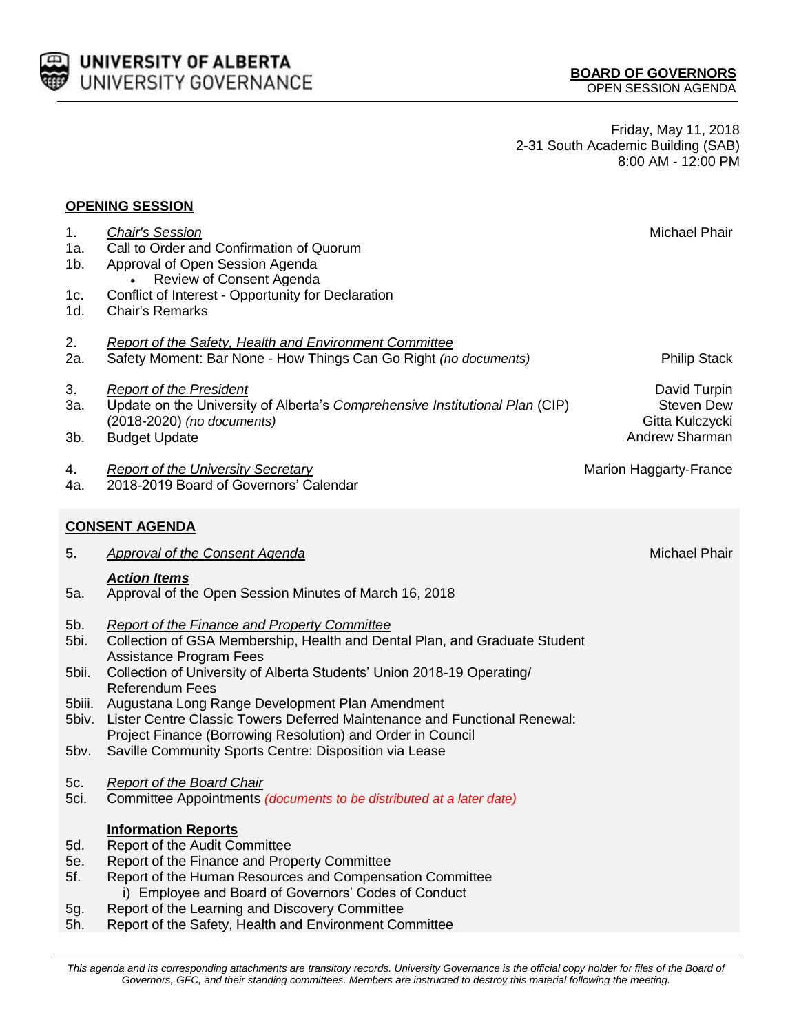

Friday, May 11, 2018 2-31 South Academic Building (SAB) 8:00 AM - 12:00 PM

## **OPENING SESSION**

| 1.<br>1a.<br>1b.<br>1c.         | <b>Chair's Session</b><br>Call to Order and Confirmation of Quorum<br>Approval of Open Session Agenda<br>Review of Consent Agenda<br>Conflict of Interest - Opportunity for Declaration                                                                                                                                                     | Michael Phair                                                          |
|---------------------------------|---------------------------------------------------------------------------------------------------------------------------------------------------------------------------------------------------------------------------------------------------------------------------------------------------------------------------------------------|------------------------------------------------------------------------|
| 1d.                             | <b>Chair's Remarks</b>                                                                                                                                                                                                                                                                                                                      |                                                                        |
| 2.<br>2a.                       | <b>Report of the Safety, Health and Environment Committee</b><br>Safety Moment: Bar None - How Things Can Go Right (no documents)                                                                                                                                                                                                           | <b>Philip Stack</b>                                                    |
| 3.<br>За.<br>3b.                | <b>Report of the President</b><br>Update on the University of Alberta's Comprehensive Institutional Plan (CIP)<br>(2018-2020) (no documents)<br><b>Budget Update</b>                                                                                                                                                                        | David Turpin<br><b>Steven Dew</b><br>Gitta Kulczycki<br>Andrew Sharman |
| 4.<br>4a.                       | <b>Report of the University Secretary</b><br>2018-2019 Board of Governors' Calendar                                                                                                                                                                                                                                                         | Marion Haggarty-France                                                 |
|                                 | <b>CONSENT AGENDA</b>                                                                                                                                                                                                                                                                                                                       |                                                                        |
| 5.                              | <b>Approval of the Consent Agenda</b>                                                                                                                                                                                                                                                                                                       | <b>Michael Phair</b>                                                   |
| 5a.                             | <b>Action Items</b><br>Approval of the Open Session Minutes of March 16, 2018                                                                                                                                                                                                                                                               |                                                                        |
| 5b.<br>5bi.<br>5bii.<br>5biii.  | <b>Report of the Finance and Property Committee</b><br>Collection of GSA Membership, Health and Dental Plan, and Graduate Student<br><b>Assistance Program Fees</b><br>Collection of University of Alberta Students' Union 2018-19 Operating/<br><b>Referendum Fees</b><br>Augustana Long Range Development Plan Amendment                  |                                                                        |
| 5biv.<br>5bv.                   | Lister Centre Classic Towers Deferred Maintenance and Functional Renewal:<br>Project Finance (Borrowing Resolution) and Order in Council<br>Saville Community Sports Centre: Disposition via Lease                                                                                                                                          |                                                                        |
| 5c.<br>5ci.                     | <b>Report of the Board Chair</b><br>Committee Appointments (documents to be distributed at a later date)                                                                                                                                                                                                                                    |                                                                        |
| 5d.<br>5e.<br>5f.<br>5g.<br>5h. | <b>Information Reports</b><br>Report of the Audit Committee<br>Report of the Finance and Property Committee<br>Report of the Human Resources and Compensation Committee<br>i) Employee and Board of Governors' Codes of Conduct<br>Report of the Learning and Discovery Committee<br>Report of the Safety, Health and Environment Committee |                                                                        |

This agenda and its corresponding attachments are transitory records. University Governance is the official copy holder for files of the Board of *Governors, GFC, and their standing committees. Members are instructed to destroy this material following the meeting.*